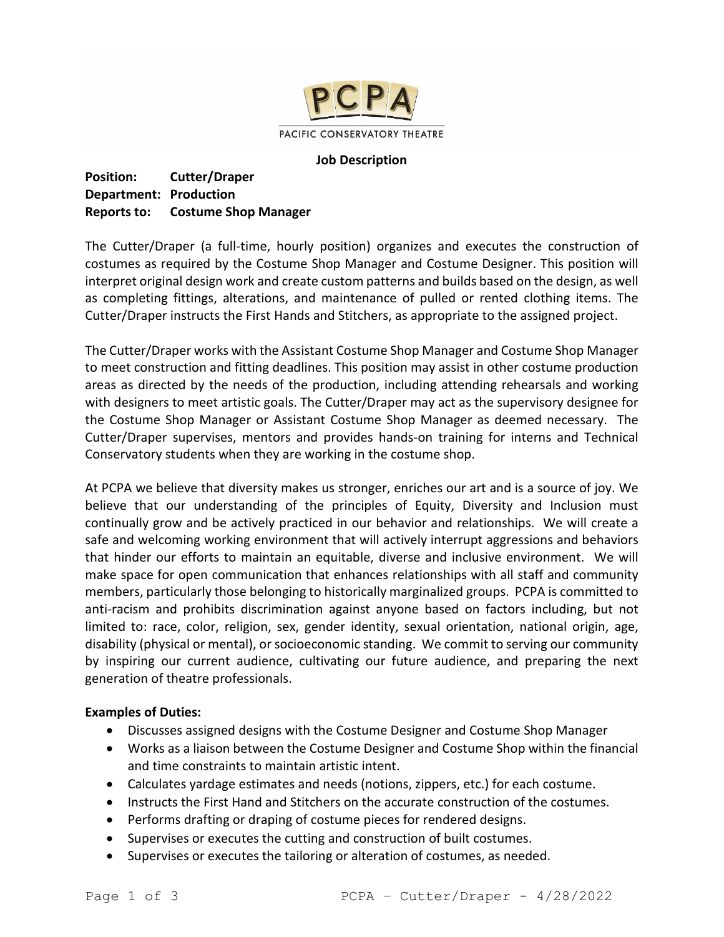

#### **Job Description**

**Position: Cutter/Draper Department: Production Reports to: Costume Shop Manager**

The Cutter/Draper (a full-time, hourly position) organizes and executes the construction of costumes as required by the Costume Shop Manager and Costume Designer. This position will interpret original design work and create custom patterns and builds based on the design, as well as completing fittings, alterations, and maintenance of pulled or rented clothing items. The Cutter/Draper instructs the First Hands and Stitchers, as appropriate to the assigned project.

The Cutter/Draper works with the Assistant Costume Shop Manager and Costume Shop Manager to meet construction and fitting deadlines. This position may assist in other costume production areas as directed by the needs of the production, including attending rehearsals and working with designers to meet artistic goals. The Cutter/Draper may act as the supervisory designee for the Costume Shop Manager or Assistant Costume Shop Manager as deemed necessary. The Cutter/Draper supervises, mentors and provides hands-on training for interns and Technical Conservatory students when they are working in the costume shop.

At PCPA we believe that diversity makes us stronger, enriches our art and is a source of joy. We believe that our understanding of the principles of Equity, Diversity and Inclusion must continually grow and be actively practiced in our behavior and relationships. We will create a safe and welcoming working environment that will actively interrupt aggressions and behaviors that hinder our efforts to maintain an equitable, diverse and inclusive environment. We will make space for open communication that enhances relationships with all staff and community members, particularly those belonging to historically marginalized groups. PCPA is committed to anti-racism and prohibits discrimination against anyone based on factors including, but not limited to: race, color, religion, sex, gender identity, sexual orientation, national origin, age, disability (physical or mental), or socioeconomic standing. We commit to serving our community by inspiring our current audience, cultivating our future audience, and preparing the next generation of theatre professionals.

## **Examples of Duties:**

- Discusses assigned designs with the Costume Designer and Costume Shop Manager
- Works as a liaison between the Costume Designer and Costume Shop within the financial and time constraints to maintain artistic intent.
- Calculates yardage estimates and needs (notions, zippers, etc.) for each costume.
- Instructs the First Hand and Stitchers on the accurate construction of the costumes.
- Performs drafting or draping of costume pieces for rendered designs.
- Supervises or executes the cutting and construction of built costumes.
- Supervises or executes the tailoring or alteration of costumes, as needed.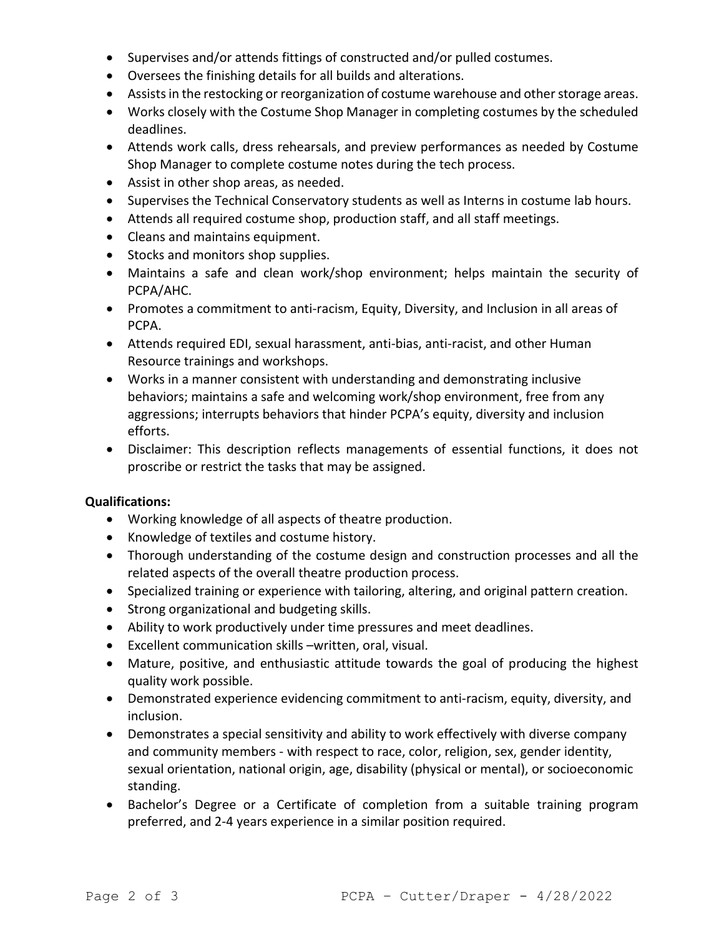- Supervises and/or attends fittings of constructed and/or pulled costumes.
- Oversees the finishing details for all builds and alterations.
- Assistsin the restocking or reorganization of costume warehouse and other storage areas.
- Works closely with the Costume Shop Manager in completing costumes by the scheduled deadlines.
- Attends work calls, dress rehearsals, and preview performances as needed by Costume Shop Manager to complete costume notes during the tech process.
- Assist in other shop areas, as needed.
- Supervises the Technical Conservatory students as well as Interns in costume lab hours.
- Attends all required costume shop, production staff, and all staff meetings.
- Cleans and maintains equipment.
- Stocks and monitors shop supplies.
- Maintains a safe and clean work/shop environment; helps maintain the security of PCPA/AHC.
- Promotes a commitment to anti-racism, Equity, Diversity, and Inclusion in all areas of PCPA.
- Attends required EDI, sexual harassment, anti-bias, anti-racist, and other Human Resource trainings and workshops.
- Works in a manner consistent with understanding and demonstrating inclusive behaviors; maintains a safe and welcoming work/shop environment, free from any aggressions; interrupts behaviors that hinder PCPA's equity, diversity and inclusion efforts.
- Disclaimer: This description reflects managements of essential functions, it does not proscribe or restrict the tasks that may be assigned.

# **Qualifications:**

- Working knowledge of all aspects of theatre production.
- Knowledge of textiles and costume history.
- Thorough understanding of the costume design and construction processes and all the related aspects of the overall theatre production process.
- Specialized training or experience with tailoring, altering, and original pattern creation.
- Strong organizational and budgeting skills.
- Ability to work productively under time pressures and meet deadlines.
- Excellent communication skills –written, oral, visual.
- Mature, positive, and enthusiastic attitude towards the goal of producing the highest quality work possible.
- Demonstrated experience evidencing commitment to anti-racism, equity, diversity, and inclusion.
- Demonstrates a special sensitivity and ability to work effectively with diverse company and community members - with respect to race, color, religion, sex, gender identity, sexual orientation, national origin, age, disability (physical or mental), or socioeconomic standing.
- Bachelor's Degree or a Certificate of completion from a suitable training program preferred, and 2-4 years experience in a similar position required.